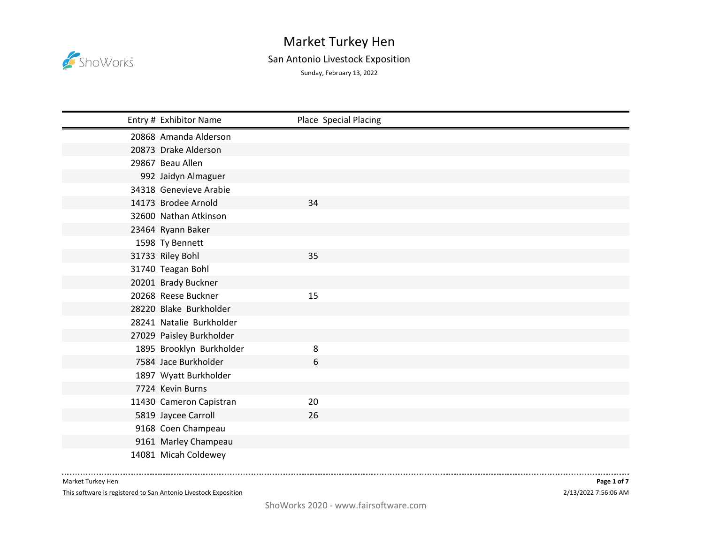

## San Antonio Livestock Exposition

Sunday, February 13, 2022

| Entry # Exhibitor Name   | Place Special Placing |
|--------------------------|-----------------------|
| 20868 Amanda Alderson    |                       |
| 20873 Drake Alderson     |                       |
| 29867 Beau Allen         |                       |
| 992 Jaidyn Almaguer      |                       |
| 34318 Genevieve Arabie   |                       |
| 14173 Brodee Arnold      | 34                    |
| 32600 Nathan Atkinson    |                       |
| 23464 Ryann Baker        |                       |
| 1598 Ty Bennett          |                       |
| 31733 Riley Bohl         | 35                    |
| 31740 Teagan Bohl        |                       |
| 20201 Brady Buckner      |                       |
| 20268 Reese Buckner      | 15                    |
| 28220 Blake Burkholder   |                       |
| 28241 Natalie Burkholder |                       |
| 27029 Paisley Burkholder |                       |
| 1895 Brooklyn Burkholder | 8                     |
| 7584 Jace Burkholder     | 6                     |
| 1897 Wyatt Burkholder    |                       |
| 7724 Kevin Burns         |                       |
| 11430 Cameron Capistran  | 20                    |
| 5819 Jaycee Carroll      | 26                    |
| 9168 Coen Champeau       |                       |
| 9161 Marley Champeau     |                       |
| 14081 Micah Coldewey     |                       |

Market Turkey Hen

This software is registered to San Antonio Livestock Exposition

-----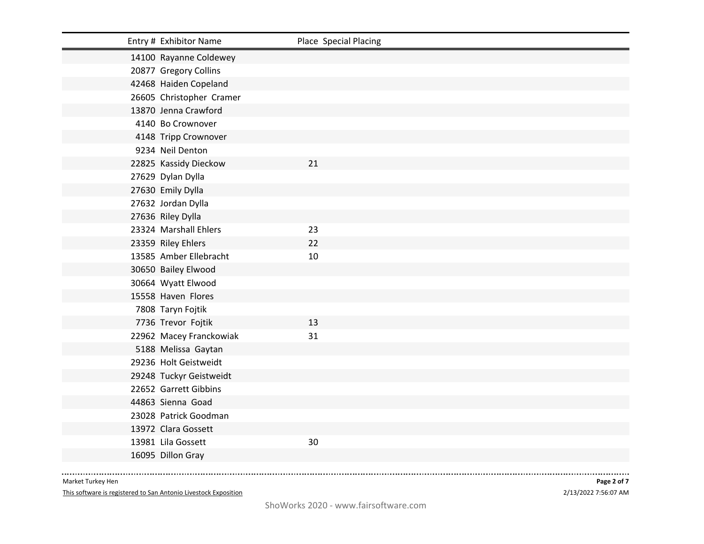| Entry # Exhibitor Name   | Place Special Placing |
|--------------------------|-----------------------|
| 14100 Rayanne Coldewey   |                       |
| 20877 Gregory Collins    |                       |
| 42468 Haiden Copeland    |                       |
| 26605 Christopher Cramer |                       |
| 13870 Jenna Crawford     |                       |
| 4140 Bo Crownover        |                       |
| 4148 Tripp Crownover     |                       |
| 9234 Neil Denton         |                       |
| 22825 Kassidy Dieckow    | 21                    |
| 27629 Dylan Dylla        |                       |
| 27630 Emily Dylla        |                       |
| 27632 Jordan Dylla       |                       |
| 27636 Riley Dylla        |                       |
| 23324 Marshall Ehlers    | 23                    |
| 23359 Riley Ehlers       | 22                    |
| 13585 Amber Ellebracht   | 10                    |
| 30650 Bailey Elwood      |                       |
| 30664 Wyatt Elwood       |                       |
| 15558 Haven Flores       |                       |
| 7808 Taryn Fojtik        |                       |
| 7736 Trevor Fojtik       | 13                    |
| 22962 Macey Franckowiak  | 31                    |
| 5188 Melissa Gaytan      |                       |
| 29236 Holt Geistweidt    |                       |
| 29248 Tuckyr Geistweidt  |                       |
| 22652 Garrett Gibbins    |                       |
| 44863 Sienna Goad        |                       |
| 23028 Patrick Goodman    |                       |
| 13972 Clara Gossett      |                       |
| 13981 Lila Gossett       | 30                    |
| 16095 Dillon Gray        |                       |

--------------

This software is registered to San Antonio Livestock Exposition

2/13/2022 7:56:07 AM **Page 2 of 7**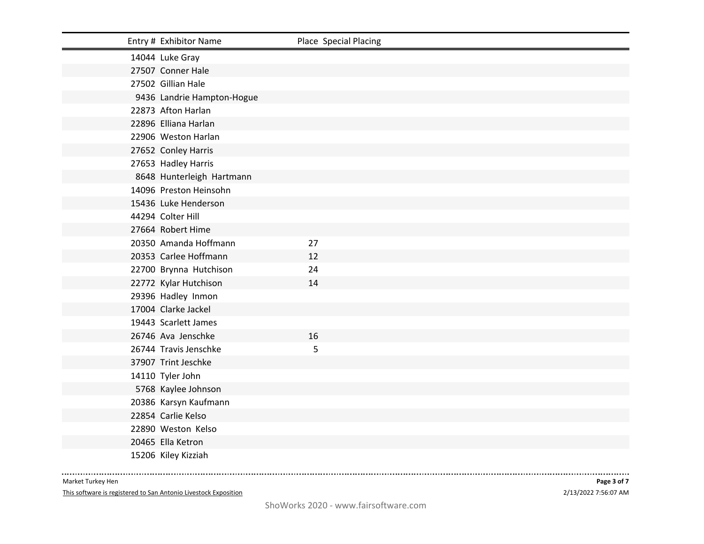| Entry # Exhibitor Name     | Place Special Placing |
|----------------------------|-----------------------|
| 14044 Luke Gray            |                       |
| 27507 Conner Hale          |                       |
| 27502 Gillian Hale         |                       |
| 9436 Landrie Hampton-Hogue |                       |
| 22873 Afton Harlan         |                       |
| 22896 Elliana Harlan       |                       |
| 22906 Weston Harlan        |                       |
| 27652 Conley Harris        |                       |
| 27653 Hadley Harris        |                       |
| 8648 Hunterleigh Hartmann  |                       |
| 14096 Preston Heinsohn     |                       |
| 15436 Luke Henderson       |                       |
| 44294 Colter Hill          |                       |
| 27664 Robert Hime          |                       |
| 20350 Amanda Hoffmann      | 27                    |
| 20353 Carlee Hoffmann      | 12                    |
| 22700 Brynna Hutchison     | 24                    |
| 22772 Kylar Hutchison      | 14                    |
| 29396 Hadley Inmon         |                       |
| 17004 Clarke Jackel        |                       |
| 19443 Scarlett James       |                       |
| 26746 Ava Jenschke         | 16                    |
| 26744 Travis Jenschke      | 5                     |
| 37907 Trint Jeschke        |                       |
| 14110 Tyler John           |                       |
| 5768 Kaylee Johnson        |                       |
| 20386 Karsyn Kaufmann      |                       |
| 22854 Carlie Kelso         |                       |
| 22890 Weston Kelso         |                       |
| 20465 Ella Ketron          |                       |
| 15206 Kiley Kizziah        |                       |

--------------

This software is registered to San Antonio Livestock Exposition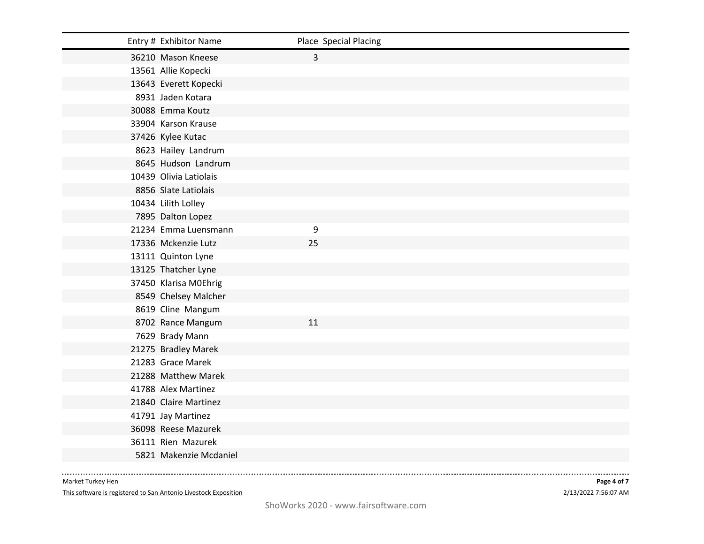| Entry # Exhibitor Name | Place Special Placing |
|------------------------|-----------------------|
| 36210 Mason Kneese     | 3                     |
| 13561 Allie Kopecki    |                       |
| 13643 Everett Kopecki  |                       |
| 8931 Jaden Kotara      |                       |
| 30088 Emma Koutz       |                       |
| 33904 Karson Krause    |                       |
| 37426 Kylee Kutac      |                       |
| 8623 Hailey Landrum    |                       |
| 8645 Hudson Landrum    |                       |
| 10439 Olivia Latiolais |                       |
| 8856 Slate Latiolais   |                       |
| 10434 Lilith Lolley    |                       |
| 7895 Dalton Lopez      |                       |
| 21234 Emma Luensmann   | 9                     |
| 17336 Mckenzie Lutz    | 25                    |
| 13111 Quinton Lyne     |                       |
| 13125 Thatcher Lyne    |                       |
| 37450 Klarisa M0Ehrig  |                       |
| 8549 Chelsey Malcher   |                       |
| 8619 Cline Mangum      |                       |
| 8702 Rance Mangum      | 11                    |
| 7629 Brady Mann        |                       |
| 21275 Bradley Marek    |                       |
| 21283 Grace Marek      |                       |
| 21288 Matthew Marek    |                       |
| 41788 Alex Martinez    |                       |
| 21840 Claire Martinez  |                       |
| 41791 Jay Martinez     |                       |
| 36098 Reese Mazurek    |                       |
| 36111 Rien Mazurek     |                       |
| 5821 Makenzie Mcdaniel |                       |

--------------

This software is registered to San Antonio Livestock Exposition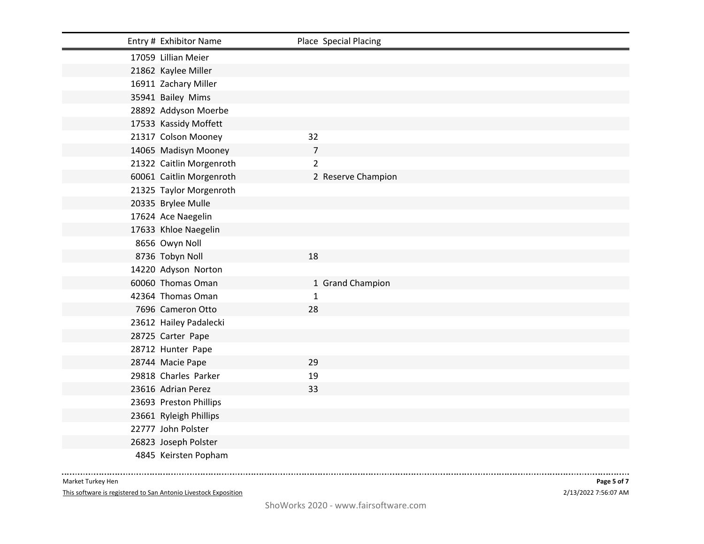| Entry # Exhibitor Name   | Place Special Placing |
|--------------------------|-----------------------|
| 17059 Lillian Meier      |                       |
| 21862 Kaylee Miller      |                       |
| 16911 Zachary Miller     |                       |
| 35941 Bailey Mims        |                       |
| 28892 Addyson Moerbe     |                       |
| 17533 Kassidy Moffett    |                       |
| 21317 Colson Mooney      | 32                    |
| 14065 Madisyn Mooney     | $\overline{7}$        |
| 21322 Caitlin Morgenroth | $\overline{2}$        |
| 60061 Caitlin Morgenroth | 2 Reserve Champion    |
| 21325 Taylor Morgenroth  |                       |
| 20335 Brylee Mulle       |                       |
| 17624 Ace Naegelin       |                       |
| 17633 Khloe Naegelin     |                       |
| 8656 Owyn Noll           |                       |
| 8736 Tobyn Noll          | 18                    |
| 14220 Adyson Norton      |                       |
| 60060 Thomas Oman        | 1 Grand Champion      |
| 42364 Thomas Oman        | $\mathbf{1}$          |
| 7696 Cameron Otto        | 28                    |
| 23612 Hailey Padalecki   |                       |
| 28725 Carter Pape        |                       |
| 28712 Hunter Pape        |                       |
| 28744 Macie Pape         | 29                    |
| 29818 Charles Parker     | 19                    |
| 23616 Adrian Perez       | 33                    |
| 23693 Preston Phillips   |                       |
| 23661 Ryleigh Phillips   |                       |
| 22777 John Polster       |                       |
| 26823 Joseph Polster     |                       |
| 4845 Keirsten Popham     |                       |

. . . . . . . . . .

--------------

This software is registered to San Antonio Livestock Exposition

. . . . . .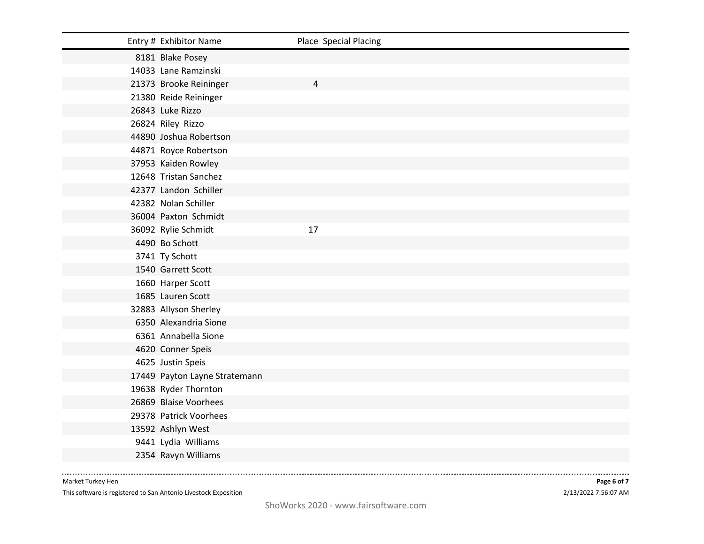| Entry # Exhibitor Name        | Place Special Placing |
|-------------------------------|-----------------------|
| 8181 Blake Posey              |                       |
| 14033 Lane Ramzinski          |                       |
| 21373 Brooke Reininger        | 4                     |
| 21380 Reide Reininger         |                       |
| 26843 Luke Rizzo              |                       |
| 26824 Riley Rizzo             |                       |
| 44890 Joshua Robertson        |                       |
| 44871 Royce Robertson         |                       |
| 37953 Kaiden Rowley           |                       |
| 12648 Tristan Sanchez         |                       |
| 42377 Landon Schiller         |                       |
| 42382 Nolan Schiller          |                       |
| 36004 Paxton Schmidt          |                       |
| 36092 Rylie Schmidt           | 17                    |
| 4490 Bo Schott                |                       |
| 3741 Ty Schott                |                       |
| 1540 Garrett Scott            |                       |
| 1660 Harper Scott             |                       |
| 1685 Lauren Scott             |                       |
| 32883 Allyson Sherley         |                       |
| 6350 Alexandria Sione         |                       |
| 6361 Annabella Sione          |                       |
| 4620 Conner Speis             |                       |
| 4625 Justin Speis             |                       |
| 17449 Payton Layne Stratemann |                       |
| 19638 Ryder Thornton          |                       |
| 26869 Blaise Voorhees         |                       |
| 29378 Patrick Voorhees        |                       |
| 13592 Ashlyn West             |                       |
| 9441 Lydia Williams           |                       |
| 2354 Ravyn Williams           |                       |

. . . . . . . . . .

--------------

This software is registered to San Antonio Livestock Exposition

. . . . . .